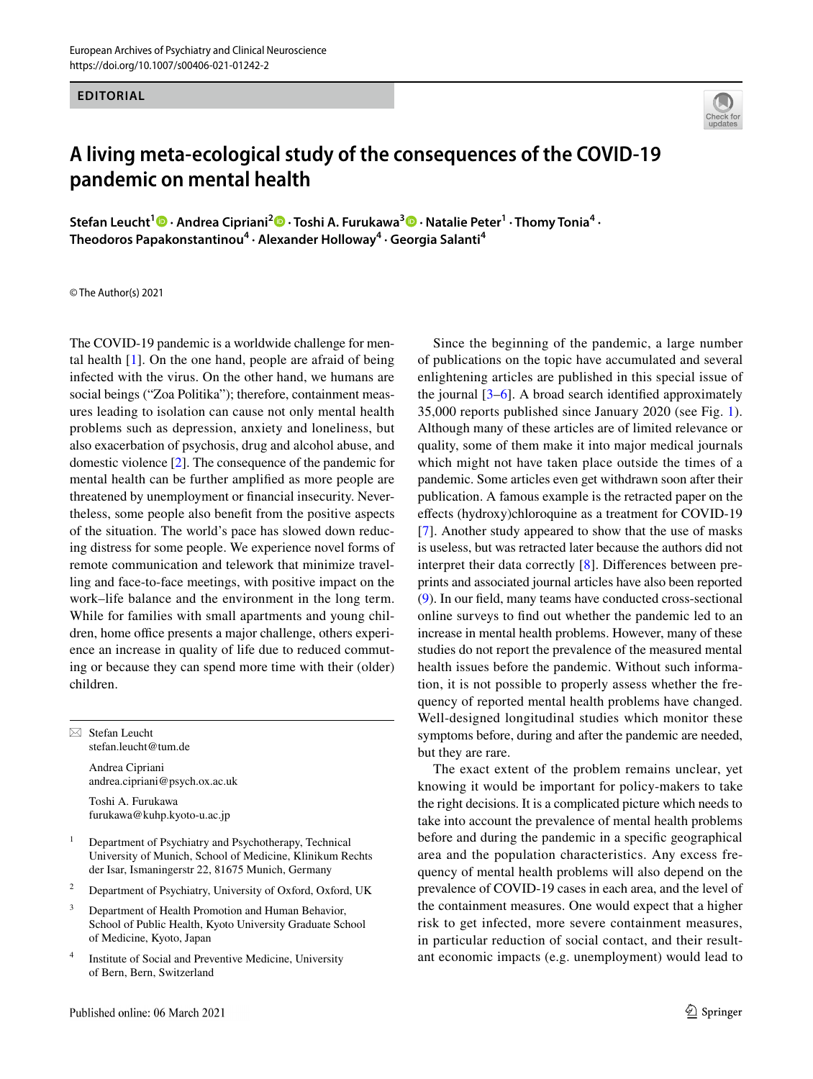## **EDITORIAL**



## **A living meta‑ecological study of the consequences of the COVID‑19 pandemic on mental health**

**Stefan Leucht<sup>1</sup>  [·](http://orcid.org/0000-0002-4934-4352) Andrea Cipriani2 · Toshi A. Furukawa<sup>3</sup> · Natalie Peter1 · Thomy Tonia<sup>4</sup> · Theodoros Papakonstantinou<sup>4</sup> · Alexander Holloway<sup>4</sup> · Georgia Salanti4**

© The Author(s) 2021

The COVID-19 pandemic is a worldwide challenge for mental health [[1\]](#page-2-0). On the one hand, people are afraid of being infected with the virus. On the other hand, we humans are social beings ("Zoa Politika"); therefore, containment measures leading to isolation can cause not only mental health problems such as depression, anxiety and loneliness, but also exacerbation of psychosis, drug and alcohol abuse, and domestic violence [\[2](#page-2-1)]. The consequence of the pandemic for mental health can be further amplifed as more people are threatened by unemployment or fnancial insecurity. Nevertheless, some people also beneft from the positive aspects of the situation. The world's pace has slowed down reducing distress for some people. We experience novel forms of remote communication and telework that minimize travelling and face-to-face meetings, with positive impact on the work–life balance and the environment in the long term. While for families with small apartments and young children, home office presents a major challenge, others experience an increase in quality of life due to reduced commuting or because they can spend more time with their (older) children.

 $\boxtimes$  Stefan Leucht stefan.leucht@tum.de

> Andrea Cipriani andrea.cipriani@psych.ox.ac.uk

Toshi A. Furukawa furukawa@kuhp.kyoto-u.ac.jp

- <sup>1</sup> Department of Psychiatry and Psychotherapy, Technical University of Munich, School of Medicine, Klinikum Rechts der Isar, Ismaningerstr 22, 81675 Munich, Germany
- <sup>2</sup> Department of Psychiatry, University of Oxford, Oxford, UK
- <sup>3</sup> Department of Health Promotion and Human Behavior. School of Public Health, Kyoto University Graduate School of Medicine, Kyoto, Japan
- <sup>4</sup> Institute of Social and Preventive Medicine, University of Bern, Bern, Switzerland

Since the beginning of the pandemic, a large number of publications on the topic have accumulated and several enlightening articles are published in this special issue of the journal  $[3-6]$  $[3-6]$ . A broad search identified approximately 35,000 reports published since January 2020 (see Fig. [1](#page-1-0)). Although many of these articles are of limited relevance or quality, some of them make it into major medical journals which might not have taken place outside the times of a pandemic. Some articles even get withdrawn soon after their publication. A famous example is the retracted paper on the efects (hydroxy)chloroquine as a treatment for COVID-19 [[7\]](#page-2-4). Another study appeared to show that the use of masks is useless, but was retracted later because the authors did not interpret their data correctly [[8\]](#page-2-5). Diferences between preprints and associated journal articles have also been reported [\(9](#page-2-6)). In our feld, many teams have conducted cross-sectional online surveys to fnd out whether the pandemic led to an increase in mental health problems. However, many of these studies do not report the prevalence of the measured mental health issues before the pandemic. Without such information, it is not possible to properly assess whether the frequency of reported mental health problems have changed. Well-designed longitudinal studies which monitor these symptoms before, during and after the pandemic are needed, but they are rare.

The exact extent of the problem remains unclear, yet knowing it would be important for policy-makers to take the right decisions. It is a complicated picture which needs to take into account the prevalence of mental health problems before and during the pandemic in a specifc geographical area and the population characteristics. Any excess frequency of mental health problems will also depend on the prevalence of COVID-19 cases in each area, and the level of the containment measures. One would expect that a higher risk to get infected, more severe containment measures, in particular reduction of social contact, and their resultant economic impacts (e.g. unemployment) would lead to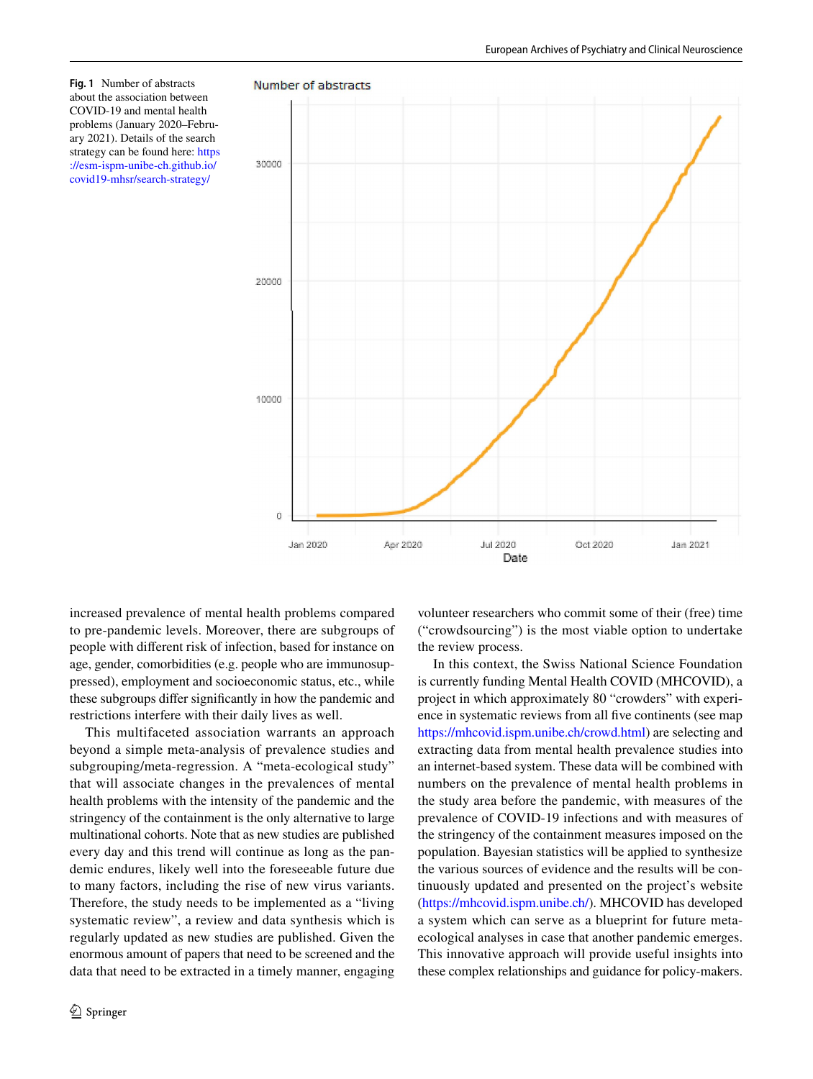<span id="page-1-0"></span>**Fig. 1** Number of abstracts about the association between COVID-19 and mental health problems (January 2020–February 2021). Details of the search strategy can be found here: [https](https://esm-ispm-unibe-ch.github.io/covid19-mhsr/search-strategy/) [://esm-ispm-unibe-ch.github.io/](https://esm-ispm-unibe-ch.github.io/covid19-mhsr/search-strategy/) [covid19-mhsr/search-strategy/](https://esm-ispm-unibe-ch.github.io/covid19-mhsr/search-strategy/)



increased prevalence of mental health problems compared to pre-pandemic levels. Moreover, there are subgroups of people with diferent risk of infection, based for instance on age, gender, comorbidities (e.g. people who are immunosuppressed), employment and socioeconomic status, etc., while these subgroups difer signifcantly in how the pandemic and restrictions interfere with their daily lives as well.

This multifaceted association warrants an approach beyond a simple meta-analysis of prevalence studies and subgrouping/meta-regression. A "meta-ecological study" that will associate changes in the prevalences of mental health problems with the intensity of the pandemic and the stringency of the containment is the only alternative to large multinational cohorts. Note that as new studies are published every day and this trend will continue as long as the pandemic endures, likely well into the foreseeable future due to many factors, including the rise of new virus variants. Therefore, the study needs to be implemented as a "living systematic review", a review and data synthesis which is regularly updated as new studies are published. Given the enormous amount of papers that need to be screened and the data that need to be extracted in a timely manner, engaging volunteer researchers who commit some of their (free) time ("crowdsourcing") is the most viable option to undertake the review process.

In this context, the Swiss National Science Foundation is currently funding Mental Health COVID (MHCOVID), a project in which approximately 80 "crowders" with experience in systematic reviews from all fve continents (see map <https://mhcovid.ispm.unibe.ch/crowd.html>) are selecting and extracting data from mental health prevalence studies into an internet-based system. These data will be combined with numbers on the prevalence of mental health problems in the study area before the pandemic, with measures of the prevalence of COVID-19 infections and with measures of the stringency of the containment measures imposed on the population. Bayesian statistics will be applied to synthesize the various sources of evidence and the results will be continuously updated and presented on the project's website [\(https://mhcovid.ispm.unibe.ch/](https://mhcovid.ispm.unibe.ch/)). MHCOVID has developed a system which can serve as a blueprint for future metaecological analyses in case that another pandemic emerges. This innovative approach will provide useful insights into these complex relationships and guidance for policy-makers.